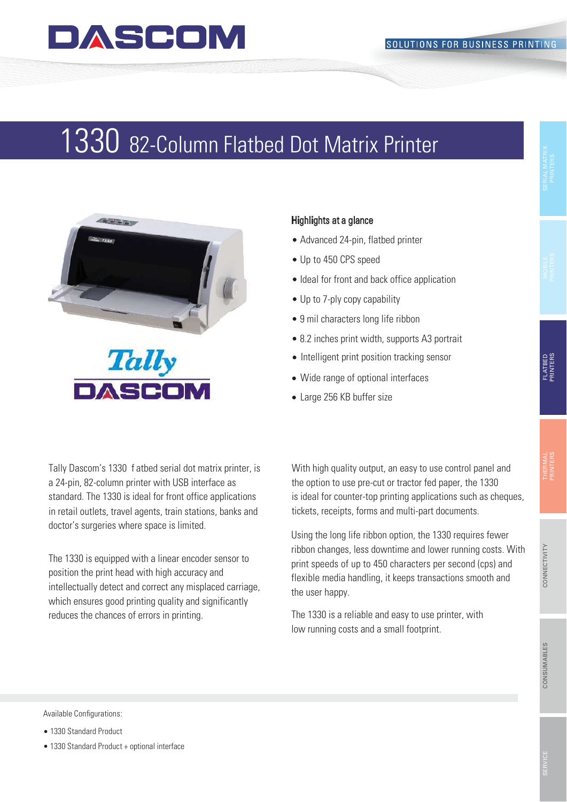### DASCOM

## 3 82-Column Flatbed Dot Matrix Printer 1330 82-Column Flatbed Dot Matrix Printer



### Highlights at a glance

- Advanced 24-pin, flatbed printer
- Up to 450 CPS speed
- Ideal for front and back office application
- Up to 7-ply copy capability
- 9 mil characters long life ribbon
- 8.2 inches print width, supports A3 portrait
- Intelligent print position tracking sensor
- Wide range of optional interfaces
- Large 256 KB buffer size

Tally Dascom's 1330 f atbed serial dot matrix printer, is a 24-pin, 82-column printer with USB interface as standard. The 1330 is ideal for front office applications in retail outlets, travel agents, train stations, banks and doctor's surgeries where space is limited.

The 1330 is equipped with a linear encoder sensor to position the print head with high accuracy and intellectually detect and correct any misplaced carriage, which ensures good printing quality and significantly reduces the chances of errors in printing.

With high quality output, an easy to use control panel and the option to use pre-cut or tractor fed paper, the 1330 is ideal for counter-top printing applications such as cheques, tickets, receipts, forms and multi-part documents.

Using the long life ribbon option, the 1330 requires fewer ribbon changes, less downtime and lower running costs. With print speeds of up to 450 characters per second (cps) and flexible media handling, it keeps transactions smooth and the user happy.

The 1330 is a reliable and easy to use printer, with low running costs and a small footprint.

Available Configurations:

- 1330 Standard Product
- 1330 Standard Product + optional interface